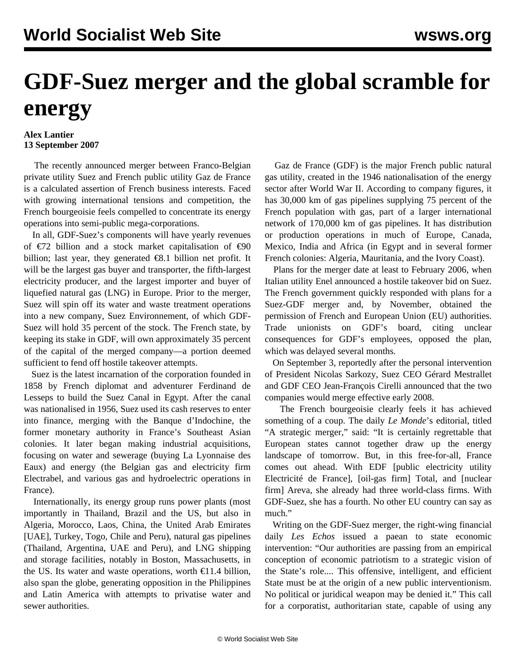## **GDF-Suez merger and the global scramble for energy**

## **Alex Lantier 13 September 2007**

 The recently announced merger between Franco-Belgian private utility Suez and French public utility Gaz de France is a calculated assertion of French business interests. Faced with growing international tensions and competition, the French bourgeoisie feels compelled to concentrate its energy operations into semi-public mega-corporations.

 In all, GDF-Suez's components will have yearly revenues of €72 billion and a stock market capitalisation of €90 billion; last year, they generated  $\epsilon$ 8.1 billion net profit. It will be the largest gas buyer and transporter, the fifth-largest electricity producer, and the largest importer and buyer of liquefied natural gas (LNG) in Europe. Prior to the merger, Suez will spin off its water and waste treatment operations into a new company, Suez Environnement, of which GDF-Suez will hold 35 percent of the stock. The French state, by keeping its stake in GDF, will own approximately 35 percent of the capital of the merged company—a portion deemed sufficient to fend off hostile takeover attempts.

 Suez is the latest incarnation of the corporation founded in 1858 by French diplomat and adventurer Ferdinand de Lesseps to build the Suez Canal in Egypt. After the canal was nationalised in 1956, Suez used its cash reserves to enter into finance, merging with the Banque d'Indochine, the former monetary authority in France's Southeast Asian colonies. It later began making industrial acquisitions, focusing on water and sewerage (buying La Lyonnaise des Eaux) and energy (the Belgian gas and electricity firm Electrabel, and various gas and hydroelectric operations in France).

 Internationally, its energy group runs power plants (most importantly in Thailand, Brazil and the US, but also in Algeria, Morocco, Laos, China, the United Arab Emirates [UAE], Turkey, Togo, Chile and Peru), natural gas pipelines (Thailand, Argentina, UAE and Peru), and LNG shipping and storage facilities, notably in Boston, Massachusetts, in the US. Its water and waste operations, worth  $\epsilon$ 11.4 billion, also span the globe, generating opposition in the Philippines and Latin America with attempts to privatise water and sewer authorities.

 Gaz de France (GDF) is the major French public natural gas utility, created in the 1946 nationalisation of the energy sector after World War II. According to company figures, it has 30,000 km of gas pipelines supplying 75 percent of the French population with gas, part of a larger international network of 170,000 km of gas pipelines. It has distribution or production operations in much of Europe, Canada, Mexico, India and Africa (in Egypt and in several former French colonies: Algeria, Mauritania, and the Ivory Coast).

 Plans for the merger date at least to February 2006, when Italian utility Enel announced a hostile takeover bid on Suez. The French government quickly responded with plans for a Suez-GDF merger and, by November, obtained the permission of French and European Union (EU) authorities. Trade unionists on GDF's board, citing unclear consequences for GDF's employees, opposed the plan, which was delayed several months.

 On September 3, reportedly after the personal intervention of President Nicolas Sarkozy, Suez CEO Gérard Mestrallet and GDF CEO Jean-François Cirelli announced that the two companies would merge effective early 2008.

 The French bourgeoisie clearly feels it has achieved something of a coup. The daily *Le Monde*'s editorial, titled "A strategic merger," said: "It is certainly regrettable that European states cannot together draw up the energy landscape of tomorrow. But, in this free-for-all, France comes out ahead. With EDF [public electricity utility Electricité de France], [oil-gas firm] Total, and [nuclear firm] Areva, she already had three world-class firms. With GDF-Suez, she has a fourth. No other EU country can say as much."

 Writing on the GDF-Suez merger, the right-wing financial daily *Les Echos* issued a paean to state economic intervention: "Our authorities are passing from an empirical conception of economic patriotism to a strategic vision of the State's role.... This offensive, intelligent, and efficient State must be at the origin of a new public interventionism. No political or juridical weapon may be denied it." This call for a corporatist, authoritarian state, capable of using any